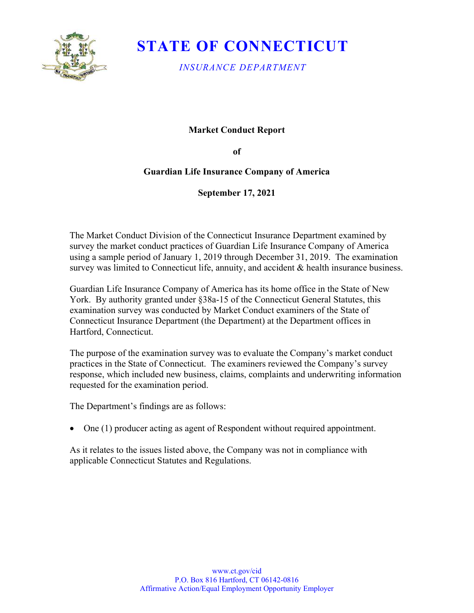

# STATE OF CONNECTICUT

INSURANCE DEPARTMENT

### Market Conduct Report

of

## Guardian Life Insurance Company of America

September 17, 2021

 The Market Conduct Division of the Connecticut Insurance Department examined by survey the market conduct practices of Guardian Life Insurance Company of America using a sample period of January 1, 2019 through December 31, 2019. The examination survey was limited to Connecticut life, annuity, and accident & health insurance business.

 Guardian Life Insurance Company of America has its home office in the State of New York. By authority granted under §38a-15 of the Connecticut General Statutes, this examination survey was conducted by Market Conduct examiners of the State of Connecticut Insurance Department (the Department) at the Department offices in Hartford, Connecticut.

 The purpose of the examination survey was to evaluate the Company's market conduct practices in the State of Connecticut. The examiners reviewed the Company's survey response, which included new business, claims, complaints and underwriting information requested for the examination period.

The Department's findings are as follows:

One (1) producer acting as agent of Respondent without required appointment.

 As it relates to the issues listed above, the Company was not in compliance with applicable Connecticut Statutes and Regulations.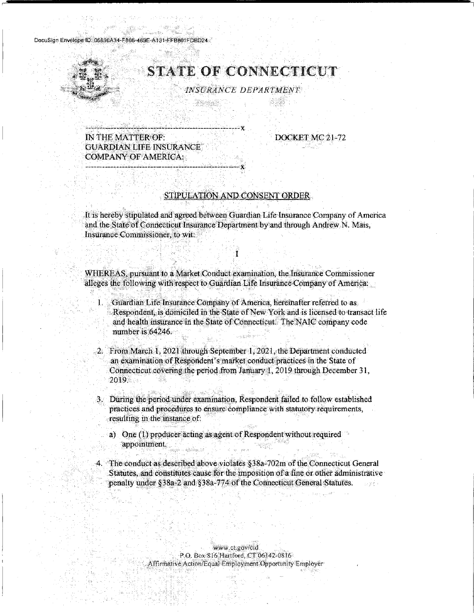DocuSign Envelope ID: 06890A34-F866-469E-A131-FFB801FDBD24



## **STATE OF CONNECTICUT**

INSURANCE DEPARTMENT

theid

IN THE MATTER OF: **GUARDIAN LIFE INSURANCE COMPANY OF AMERICA:** 

DOCKET MC 21-72

### STIPULATION AND CONSENT ORDER

It is hereby stipulated and agreed between Guardian Life Insurance Company of America and the State of Connecticut Insurance Department by and through Andrew N. Mais, Insurance Commissioner, to wit:

T

WHEREAS, pursuant to a Market Conduct examination, the Insurance Commissioner alleges the following with respect to Guardian Life Insurance Company of America.

Guardian Life Insurance Company of America, hereinafter referred to as  $1. \, \mathrm{S}$ Respondent, is domiciled in the State of New York and is licensed to transact life and health insurance in the State of Connecticut. The NAIC company code number is 64246.

2. From March 1, 2021 through September 1, 2021, the Department conducted an examination of Respondent's market conduct practices in the State of Connecticut covering the period from January 1, 2019 through December 31, 2019.

3. During the period under examination, Respondent failed to follow established practices and procedures to ensure compliance with statutory requirements, resulting in the instance of

a) One (1) producer acting as agent of Respondent without required appointment.

4. The conduct as described above violates §38a=702m of the Connecticut General Statutes, and constitutes cause for the imposition of a fine or other administrative penalty under §38a-2 and §38a-774 of the Connecticut General Statutes.

> www.ct.gov/cid P.O. Box 816 Hartford, CT 06142-0816 Affirmative Action/Equal Employment Opportunity Employer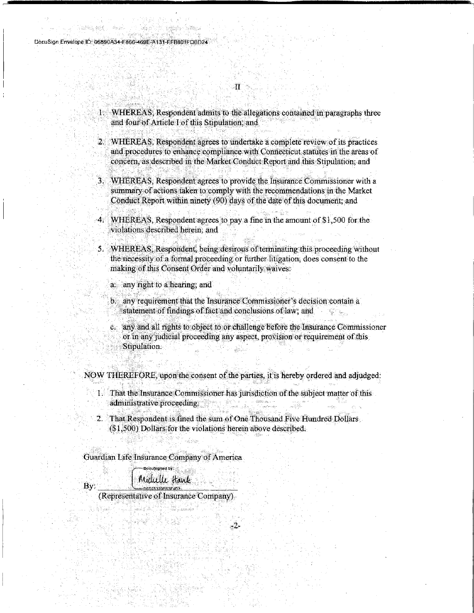1. WHEREAS, Respondent admits to the allegations contained in paragraphs three and four of Article I of this Stipulation; and

 $\mathbf{u}$ 

2. WHEREAS, Respondent agrees to undertake a complete review of its practices. and procedures to enhance compliance with Connecticut statutes in the areas of concern, as described in the Market Conduct Report and this Stipulation; and

3. WHEREAS, Respondent agrees to provide the Insurance Commissioner with a summary of actions taken to comply with the recommendations in the Market Conduct Report within ninety (90) days of the date of this document; and

4. WHEREAS, Respondent agrees to pay a fine in the amount of \$1,500 for the violations described herein; and

5. WHEREAS, Respondent, being desirous of terminating this proceeding without the necessity of a formal proceeding or further litigation, does consent to the making of this Consent Order and voluntarily waives:

a any right to a hearing, and

b. any requirement that the Insurance Commissioner's decision contain a statement of findings of fact and conclusions of law; and

c. any and all rights to object to or challenge before the Insurance Commissioner or in any judicial proceeding any aspect, provision or requirement of this Stipulation.

NOW THEREFORE, upon the consent of the parties, it is hereby ordered and adjudged:

1. That the Insurance Commissioner has jurisdiction of the subject matter of this administrative proceeding.

2. That Respondent is fined the sum of One Thousand Five Hundred Dollars (\$1,500) Dollars for the violations herein above described.

-2

Guardian Life Insurance Company of America

Michelle Hawk

By:

 $-060253205835402$ (Representative of Insurance Company)